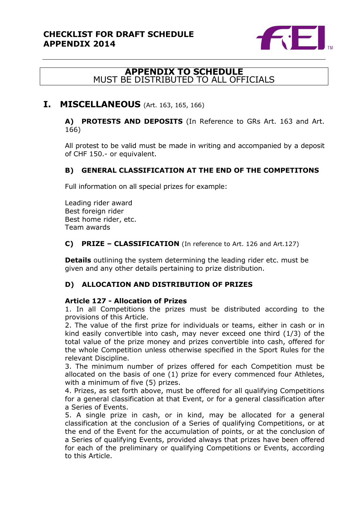

# **APPENDIX TO SCHEDULE** MUST BE DISTRIBUTED TO ALL OFFICIALS

# **I. MISCELLANEOUS** (Art. 163, 165, 166)

**A) PROTESTS AND DEPOSITS** (In Reference to GRs Art. 163 and Art. 166)

All protest to be valid must be made in writing and accompanied by a deposit of CHF 150.- or equivalent.

### **B) GENERAL CLASSIFICATION AT THE END OF THE COMPETITONS**

Full information on all special prizes for example:

Leading rider award Best foreign rider Best home rider, etc. Team awards

#### **C) PRIZE – CLASSIFICATION** (In reference to Art. 126 and Art.127)

**Details** outlining the system determining the leading rider etc. must be given and any other details pertaining to prize distribution.

### **D) ALLOCATION AND DISTRIBUTION OF PRIZES**

#### **Article 127 - Allocation of Prizes**

1. In all Competitions the prizes must be distributed according to the provisions of this Article.

2. The value of the first prize for individuals or teams, either in cash or in kind easily convertible into cash, may never exceed one third (1/3) of the total value of the prize money and prizes convertible into cash, offered for the whole Competition unless otherwise specified in the Sport Rules for the relevant Discipline.

3. The minimum number of prizes offered for each Competition must be allocated on the basis of one (1) prize for every commenced four Athletes, with a minimum of five (5) prizes.

4. Prizes, as set forth above, must be offered for all qualifying Competitions for a general classification at that Event, or for a general classification after a Series of Events.

5. A single prize in cash, or in kind, may be allocated for a general classification at the conclusion of a Series of qualifying Competitions, or at the end of the Event for the accumulation of points, or at the conclusion of a Series of qualifying Events, provided always that prizes have been offered for each of the preliminary or qualifying Competitions or Events, according to this Article.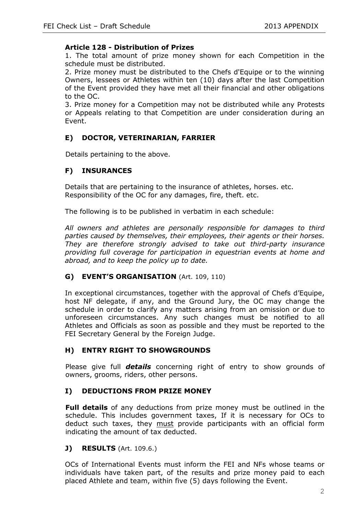#### **Article 128 - Distribution of Prizes**

1. The total amount of prize money shown for each Competition in the schedule must be distributed.

2. Prize money must be distributed to the Chefs d'Equipe or to the winning Owners, lessees or Athletes within ten (10) days after the last Competition of the Event provided they have met all their financial and other obligations to the OC.

3. Prize money for a Competition may not be distributed while any Protests or Appeals relating to that Competition are under consideration during an Event.

### **E) DOCTOR, VETERINARIAN, FARRIER**

Details pertaining to the above.

### **F) INSURANCES**

Details that are pertaining to the insurance of athletes, horses. etc. Responsibility of the OC for any damages, fire, theft. etc.

The following is to be published in verbatim in each schedule:

*All owners and athletes are personally responsible for damages to third parties caused by themselves, their employees, their agents or their horses. They are therefore strongly advised to take out third-party insurance providing full coverage for participation in equestrian events at home and abroad, and to keep the policy up to date.*

#### **G) EVENT'S ORGANISATION** (Art. 109, 110)

In exceptional circumstances, together with the approval of Chefs d'Equipe, host NF delegate, if any, and the Ground Jury, the OC may change the schedule in order to clarify any matters arising from an omission or due to unforeseen circumstances. Any such changes must be notified to all Athletes and Officials as soon as possible and they must be reported to the FEI Secretary General by the Foreign Judge.

### **H) ENTRY RIGHT TO SHOWGROUNDS**

Please give full *details* concerning right of entry to show grounds of owners, grooms, riders, other persons.

### **I) DEDUCTIONS FROM PRIZE MONEY**

**Full details** of any deductions from prize money must be outlined in the schedule. This includes government taxes, If it is necessary for OCs to deduct such taxes, they must provide participants with an official form indicating the amount of tax deducted.

**J) RESULTS** (Art. 109.6.)

OCs of International Events must inform the FEI and NFs whose teams or individuals have taken part, of the results and prize money paid to each placed Athlete and team, within five (5) days following the Event.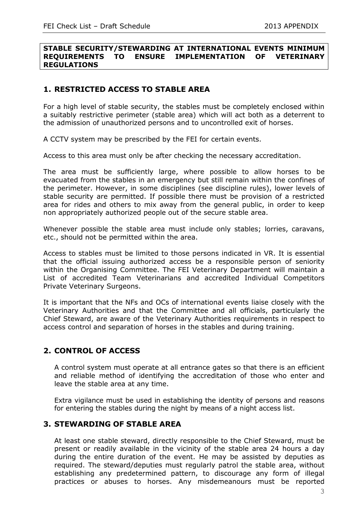#### **STABLE SECURITY/STEWARDING AT INTERNATIONAL EVENTS MINIMUM REQUIREMENTS TO ENSURE IMPLEMENTATION OF VETERINARY REGULATIONS**

# **1. RESTRICTED ACCESS TO STABLE AREA**

For a high level of stable security, the stables must be completely enclosed within a suitably restrictive perimeter (stable area) which will act both as a deterrent to the admission of unauthorized persons and to uncontrolled exit of horses.

A CCTV system may be prescribed by the FEI for certain events.

Access to this area must only be after checking the necessary accreditation.

The area must be sufficiently large, where possible to allow horses to be evacuated from the stables in an emergency but still remain within the confines of the perimeter. However, in some disciplines (see discipline rules), lower levels of stable security are permitted. If possible there must be provision of a restricted area for rides and others to mix away from the general public, in order to keep non appropriately authorized people out of the secure stable area.

Whenever possible the stable area must include only stables; lorries, caravans, etc., should not be permitted within the area.

Access to stables must be limited to those persons indicated in VR. It is essential that the official issuing authorized access be a responsible person of seniority within the Organising Committee. The FEI Veterinary Department will maintain a List of accredited Team Veterinarians and accredited Individual Competitors Private Veterinary Surgeons.

It is important that the NFs and OCs of international events liaise closely with the Veterinary Authorities and that the Committee and all officials, particularly the Chief Steward, are aware of the Veterinary Authorities requirements in respect to access control and separation of horses in the stables and during training.

# **2. CONTROL OF ACCESS**

A control system must operate at all entrance gates so that there is an efficient and reliable method of identifying the accreditation of those who enter and leave the stable area at any time.

Extra vigilance must be used in establishing the identity of persons and reasons for entering the stables during the night by means of a night access list.

### **3. STEWARDING OF STABLE AREA**

At least one stable steward, directly responsible to the Chief Steward, must be present or readily available in the vicinity of the stable area 24 hours a day during the entire duration of the event. He may be assisted by deputies as required. The steward/deputies must regularly patrol the stable area, without establishing any predetermined pattern, to discourage any form of illegal practices or abuses to horses. Any misdemeanours must be reported